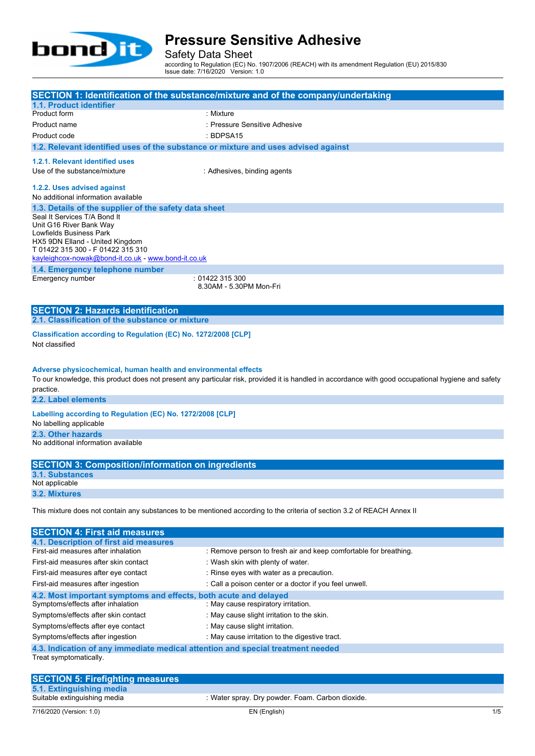

Safety Data Sheet

according to Regulation (EC) No. 1907/2006 (REACH) with its amendment Regulation (EU) 2015/830 Issue date: 7/16/2020 Version: 1.0

|                                                                  | SECTION 1: Identification of the substance/mixture and of the company/undertaking                                                                   |
|------------------------------------------------------------------|-----------------------------------------------------------------------------------------------------------------------------------------------------|
| 1.1. Product identifier<br>Product form                          | : Mixture                                                                                                                                           |
| Product name                                                     | : Pressure Sensitive Adhesive                                                                                                                       |
| Product code                                                     | $:$ BDPSA15                                                                                                                                         |
|                                                                  |                                                                                                                                                     |
|                                                                  | 1.2. Relevant identified uses of the substance or mixture and uses advised against                                                                  |
| 1.2.1. Relevant identified uses                                  |                                                                                                                                                     |
| Use of the substance/mixture                                     | : Adhesives, binding agents                                                                                                                         |
| 1.2.2. Uses advised against                                      |                                                                                                                                                     |
| No additional information available                              |                                                                                                                                                     |
| 1.3. Details of the supplier of the safety data sheet            |                                                                                                                                                     |
| Seal It Services T/A Bond It                                     |                                                                                                                                                     |
| Unit G16 River Bank Way<br>Lowfields Business Park               |                                                                                                                                                     |
| HX5 9DN Elland - United Kingdom                                  |                                                                                                                                                     |
| T 01422 315 300 - F 01422 315 310                                |                                                                                                                                                     |
| kayleighcox-nowak@bond-it.co.uk - www.bond-it.co.uk              |                                                                                                                                                     |
| 1.4. Emergency telephone number<br>Emergency number              | :01422315300                                                                                                                                        |
|                                                                  | 8.30AM - 5.30PM Mon-Fri                                                                                                                             |
|                                                                  |                                                                                                                                                     |
| <b>SECTION 2: Hazards identification</b>                         |                                                                                                                                                     |
| 2.1. Classification of the substance or mixture                  |                                                                                                                                                     |
| Classification according to Regulation (EC) No. 1272/2008 [CLP]  |                                                                                                                                                     |
| Not classified                                                   |                                                                                                                                                     |
|                                                                  |                                                                                                                                                     |
|                                                                  |                                                                                                                                                     |
| Adverse physicochemical, human health and environmental effects  |                                                                                                                                                     |
| practice.                                                        | To our knowledge, this product does not present any particular risk, provided it is handled in accordance with good occupational hygiene and safety |
| 2.2. Label elements                                              |                                                                                                                                                     |
|                                                                  |                                                                                                                                                     |
| Labelling according to Regulation (EC) No. 1272/2008 [CLP]       |                                                                                                                                                     |
| No labelling applicable<br>2.3. Other hazards                    |                                                                                                                                                     |
| No additional information available                              |                                                                                                                                                     |
|                                                                  |                                                                                                                                                     |
| <b>SECTION 3: Composition/information on ingredients</b>         |                                                                                                                                                     |
| 3.1. Substances                                                  |                                                                                                                                                     |
| Not applicable                                                   |                                                                                                                                                     |
| 3.2. Mixtures                                                    |                                                                                                                                                     |
|                                                                  | This mixture does not contain any substances to be mentioned according to the criteria of section 3.2 of REACH Annex II                             |
|                                                                  |                                                                                                                                                     |
| <b>SECTION 4: First aid measures</b>                             |                                                                                                                                                     |
| 4.1. Description of first aid measures                           |                                                                                                                                                     |
| First-aid measures after inhalation                              | : Remove person to fresh air and keep comfortable for breathing.                                                                                    |
| First-aid measures after skin contact                            | : Wash skin with plenty of water.                                                                                                                   |
| First-aid measures after eye contact                             | : Rinse eyes with water as a precaution.                                                                                                            |
| First-aid measures after ingestion                               | : Call a poison center or a doctor if you feel unwell.                                                                                              |
| 4.2. Most important symptoms and effects, both acute and delayed |                                                                                                                                                     |
| Symptoms/effects after inhalation                                | : May cause respiratory irritation.                                                                                                                 |
| Symptoms/effects after skin contact                              | : May cause slight irritation to the skin.                                                                                                          |
| Symptoms/effects after eye contact                               | : May cause slight irritation.                                                                                                                      |
| Symptoms/effects after ingestion                                 | : May cause irritation to the digestive tract.                                                                                                      |

**4.3. Indication of any immediate medical attention and special treatment needed** Treat symptomatically.

| <b>SECTION 5: Firefighting measures</b> |                                                  |
|-----------------------------------------|--------------------------------------------------|
| 5.1. Extinguishing media                |                                                  |
| Suitable extinguishing media            | : Water spray. Dry powder. Foam. Carbon dioxide. |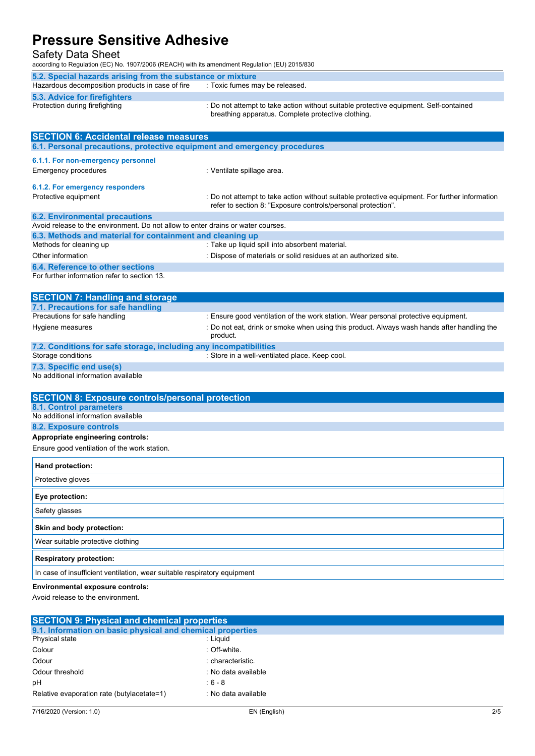Safety Data Sheet

according to Regulation (EC) No. 1907/2006 (REACH) with its amendment Regulation (EU) 2015/830

| 5.2. Special hazards arising from the substance or mixture |                                                                                                                                             |  |  |
|------------------------------------------------------------|---------------------------------------------------------------------------------------------------------------------------------------------|--|--|
| Hazardous decomposition products in case of fire           | : Toxic fumes may be released.                                                                                                              |  |  |
| 5.3. Advice for firefighters                               |                                                                                                                                             |  |  |
| Protection during firefighting                             | : Do not attempt to take action without suitable protective equipment. Self-contained<br>breathing apparatus. Complete protective clothing. |  |  |

| <b>SECTION 6: Accidental release measures</b>                                        |                                                                                                        |  |  |
|--------------------------------------------------------------------------------------|--------------------------------------------------------------------------------------------------------|--|--|
| 6.1. Personal precautions, protective equipment and emergency procedures             |                                                                                                        |  |  |
| 6.1.1. For non-emergency personnel                                                   |                                                                                                        |  |  |
| <b>Emergency procedures</b>                                                          | : Ventilate spillage area.                                                                             |  |  |
| 6.1.2. For emergency responders                                                      |                                                                                                        |  |  |
| Protective equipment                                                                 | : Do not attempt to take action without suitable protective equipment. For further information         |  |  |
|                                                                                      | refer to section 8: "Exposure controls/personal protection".                                           |  |  |
| <b>6.2. Environmental precautions</b>                                                |                                                                                                        |  |  |
| Avoid release to the environment. Do not allow to enter drains or water courses.     |                                                                                                        |  |  |
| 6.3. Methods and material for containment and cleaning up<br>Methods for cleaning up | : Take up liquid spill into absorbent material.                                                        |  |  |
| Other information                                                                    | : Dispose of materials or solid residues at an authorized site.                                        |  |  |
| 6.4. Reference to other sections                                                     |                                                                                                        |  |  |
| For further information refer to section 13.                                         |                                                                                                        |  |  |
|                                                                                      |                                                                                                        |  |  |
| <b>SECTION 7: Handling and storage</b>                                               |                                                                                                        |  |  |
| 7.1. Precautions for safe handling                                                   |                                                                                                        |  |  |
| Precautions for safe handling                                                        | : Ensure good ventilation of the work station. Wear personal protective equipment.                     |  |  |
| Hygiene measures                                                                     | : Do not eat, drink or smoke when using this product. Always wash hands after handling the<br>product. |  |  |
| 7.2. Conditions for safe storage, including any incompatibilities                    |                                                                                                        |  |  |
| Storage conditions                                                                   | : Store in a well-ventilated place. Keep cool.                                                         |  |  |
| 7.3. Specific end use(s)<br>No additional information available                      |                                                                                                        |  |  |
|                                                                                      |                                                                                                        |  |  |
| <b>SECTION 8: Exposure controls/personal protection</b>                              |                                                                                                        |  |  |
| 8.1. Control parameters                                                              |                                                                                                        |  |  |
| No additional information available                                                  |                                                                                                        |  |  |
| 8.2. Exposure controls                                                               |                                                                                                        |  |  |
| Appropriate engineering controls:                                                    |                                                                                                        |  |  |
| Ensure good ventilation of the work station.                                         |                                                                                                        |  |  |
| Hand protection:                                                                     |                                                                                                        |  |  |
| Protective gloves                                                                    |                                                                                                        |  |  |
| Eye protection:                                                                      |                                                                                                        |  |  |
| Safety glasses                                                                       |                                                                                                        |  |  |
| Skin and body protection:                                                            |                                                                                                        |  |  |
| Wear suitable protective clothing                                                    |                                                                                                        |  |  |
| <b>Respiratory protection:</b>                                                       |                                                                                                        |  |  |
| In case of insufficient ventilation, wear suitable respiratory equipment             |                                                                                                        |  |  |
| <b>Environmental exposure controls:</b>                                              |                                                                                                        |  |  |
| Avoid release to the environment.                                                    |                                                                                                        |  |  |

| <b>SECTION 9: Physical and chemical properties</b>         |                     |
|------------------------------------------------------------|---------------------|
| 9.1. Information on basic physical and chemical properties |                     |
| Physical state                                             | : Liauid            |
| Colour                                                     | : Off-white.        |
| Odour                                                      | : characteristic.   |
| Odour threshold                                            | : No data available |
| pH                                                         | $: 6 - 8$           |
| Relative evaporation rate (butylacetate=1)                 | : No data available |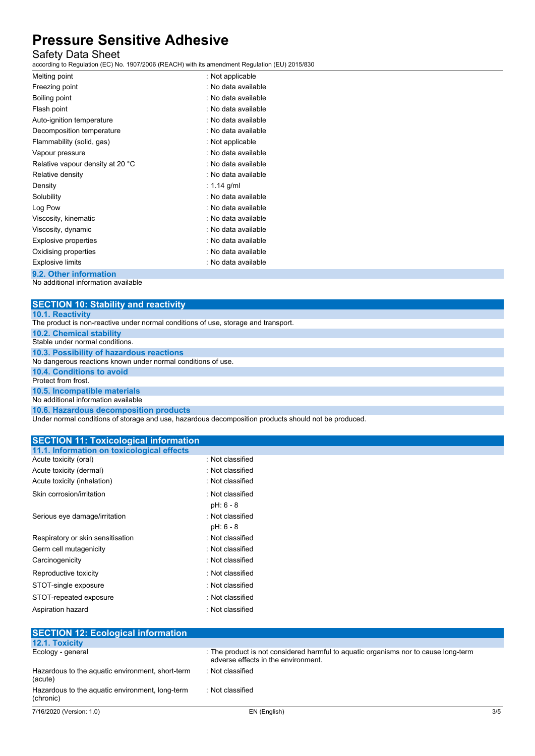### Safety Data Sheet

according to Regulation (EC) No. 1907/2006 (REACH) with its amendment Regulation (EU) 2015/830

| Melting point                                           | : Not applicable    |
|---------------------------------------------------------|---------------------|
| Freezing point                                          | : No data available |
| Boiling point                                           | : No data available |
| Flash point                                             | : No data available |
| Auto-ignition temperature                               | : No data available |
| Decomposition temperature                               | : No data available |
| Flammability (solid, gas)                               | : Not applicable    |
| Vapour pressure                                         | : No data available |
| Relative vapour density at 20 °C                        | : No data available |
| Relative density                                        | : No data available |
| Density                                                 | $: 1.14$ g/ml       |
| Solubility                                              | : No data available |
| Log Pow                                                 | : No data available |
| Viscosity, kinematic                                    | : No data available |
| Viscosity, dynamic                                      | : No data available |
| Explosive properties                                    | : No data available |
| Oxidising properties                                    | : No data available |
| <b>Explosive limits</b>                                 | : No data available |
| $\sim$ $\sim$ $\sim$ $\sim$ $\sim$ $\sim$ $\sim$ $\sim$ |                     |

**9.2. Other information**

No additional information available

| <b>SECTION 10: Stability and reactivity</b>                                                          |
|------------------------------------------------------------------------------------------------------|
| <b>10.1. Reactivity</b>                                                                              |
| The product is non-reactive under normal conditions of use, storage and transport.                   |
| 10.2. Chemical stability                                                                             |
| Stable under normal conditions.                                                                      |
| 10.3. Possibility of hazardous reactions                                                             |
| No dangerous reactions known under normal conditions of use.                                         |
| 10.4. Conditions to avoid                                                                            |
| Protect from frost.                                                                                  |
| 10.5. Incompatible materials                                                                         |
| No additional information available                                                                  |
| 10.6. Hazardous decomposition products                                                               |
| Under normal conditions of storage and use, hazardous decomposition products should not be produced. |

## **SECTION 11: Toxicological information**

| 11.1. Information on toxicological effects |                  |
|--------------------------------------------|------------------|
| Acute toxicity (oral)                      | : Not classified |
| Acute toxicity (dermal)                    | : Not classified |
| Acute toxicity (inhalation)                | : Not classified |
| Skin corrosion/irritation                  | : Not classified |
|                                            | $pH: 6 - 8$      |
| Serious eye damage/irritation              | : Not classified |
|                                            | $pH: 6 - 8$      |
| Respiratory or skin sensitisation          | : Not classified |
| Germ cell mutagenicity                     | Not classified   |
| Carcinogenicity                            | : Not classified |
| Reproductive toxicity                      | : Not classified |
| STOT-single exposure                       | : Not classified |
| STOT-repeated exposure                     | : Not classified |
| Aspiration hazard                          | : Not classified |

| <b>SECTION 12: Ecological information</b><br>12.1. Toxicity  |                                                                                                                            |     |
|--------------------------------------------------------------|----------------------------------------------------------------------------------------------------------------------------|-----|
| Ecology - general                                            | : The product is not considered harmful to aquatic organisms nor to cause long-term<br>adverse effects in the environment. |     |
| Hazardous to the aquatic environment, short-term<br>(acute)  | : Not classified                                                                                                           |     |
| Hazardous to the aquatic environment, long-term<br>(chronic) | : Not classified                                                                                                           |     |
| 7/16/2020 (Version: 1.0)                                     | EN (English)                                                                                                               | 3/5 |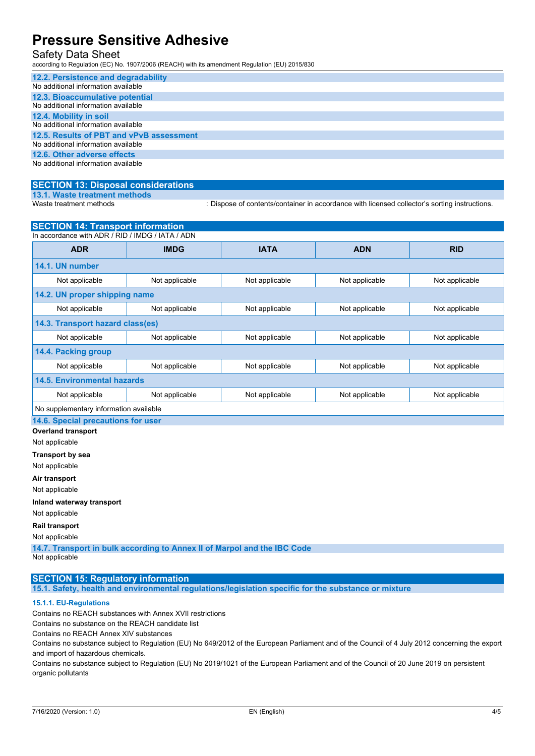### Safety Data Sheet

according to Regulation (EC) No. 1907/2006 (REACH) with its amendment Regulation (EU) 2015/830

| 12.2. Persistence and degradability      |
|------------------------------------------|
| No additional information available      |
| 12.3. Bioaccumulative potential          |
| No additional information available      |
| 12.4. Mobility in soil                   |
| No additional information available      |
| 12.5. Results of PBT and vPvB assessment |
| No additional information available      |
| 12.6. Other adverse effects              |
| No additional information available      |
|                                          |

#### **SECTION 13: Disposal considerations**

**13.1. Waste treatment methods**

: Dispose of contents/container in accordance with licensed collector's sorting instructions.

|                                                  | <b>SECTION 14: Transport information</b> |                |                |                |  |
|--------------------------------------------------|------------------------------------------|----------------|----------------|----------------|--|
| In accordance with ADR / RID / IMDG / IATA / ADN |                                          |                |                |                |  |
| <b>ADR</b>                                       | <b>IMDG</b>                              | <b>IATA</b>    | <b>ADN</b>     | <b>RID</b>     |  |
| 14.1. UN number                                  |                                          |                |                |                |  |
| Not applicable                                   | Not applicable                           | Not applicable | Not applicable | Not applicable |  |
| 14.2. UN proper shipping name                    |                                          |                |                |                |  |
| Not applicable                                   | Not applicable                           | Not applicable | Not applicable | Not applicable |  |
| 14.3. Transport hazard class(es)                 |                                          |                |                |                |  |
| Not applicable                                   | Not applicable                           | Not applicable | Not applicable | Not applicable |  |
| 14.4. Packing group                              |                                          |                |                |                |  |
| Not applicable                                   | Not applicable                           | Not applicable | Not applicable | Not applicable |  |
| <b>14.5. Environmental hazards</b>               |                                          |                |                |                |  |
| Not applicable                                   | Not applicable                           | Not applicable | Not applicable | Not applicable |  |
| No supplementary information available           |                                          |                |                |                |  |
| 14.6. Special precautions for user               |                                          |                |                |                |  |
| <b>Overland transport</b>                        |                                          |                |                |                |  |
| Not applicable                                   |                                          |                |                |                |  |
| Transport by sea                                 |                                          |                |                |                |  |
| Not applicable                                   |                                          |                |                |                |  |
| Air transport                                    |                                          |                |                |                |  |
| Not applicable                                   |                                          |                |                |                |  |
| Inland waterway transport                        |                                          |                |                |                |  |

Not applicable

#### **Rail transport**

Not applicable

**14.7. Transport in bulk according to Annex II of Marpol and the IBC Code** Not applicable

### **SECTION 15: Regulatory information**

**15.1. Safety, health and environmental regulations/legislation specific for the substance or mixture**

### **15.1.1. EU-Regulations**

Contains no REACH substances with Annex XVII restrictions

Contains no substance on the REACH candidate list

Contains no REACH Annex XIV substances

Contains no substance subject to Regulation (EU) No 649/2012 of the European Parliament and of the Council of 4 July 2012 concerning the export and import of hazardous chemicals.

Contains no substance subject to Regulation (EU) No 2019/1021 of the European Parliament and of the Council of 20 June 2019 on persistent organic pollutants